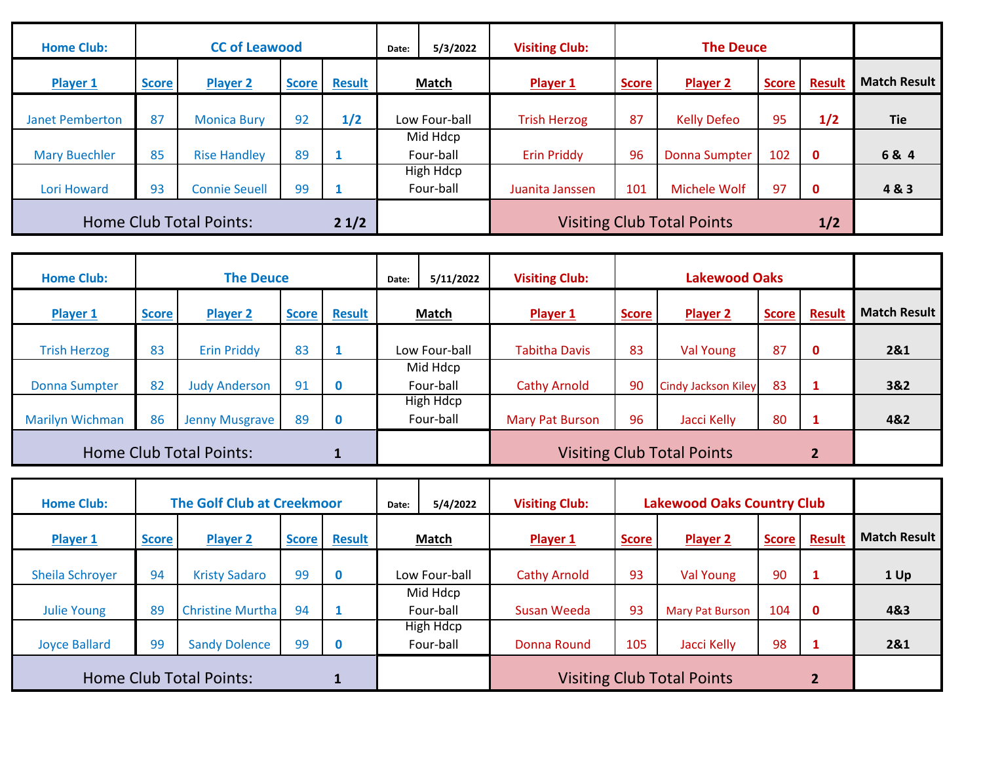| <b>Home Club:</b>                      | <b>CC of Leawood</b> |                      |              |               | Date:                                    | 5/3/2022                      | <b>Visiting Club:</b> |              | <b>The Deuce</b>   |              |               |                     |
|----------------------------------------|----------------------|----------------------|--------------|---------------|------------------------------------------|-------------------------------|-----------------------|--------------|--------------------|--------------|---------------|---------------------|
| Player 1                               | <b>Score</b>         | <b>Player 2</b>      | <b>Score</b> | <b>Result</b> | Match                                    |                               | Player 1              | <b>Score</b> | <b>Player 2</b>    | <b>Score</b> | <b>Result</b> | <b>Match Result</b> |
| <b>Janet Pemberton</b>                 | 87                   | <b>Monica Bury</b>   | 92           | 1/2           |                                          | Low Four-ball                 | <b>Trish Herzog</b>   | 87           | <b>Kelly Defeo</b> | 95           | 1/2           | <b>Tie</b>          |
| <b>Mary Buechler</b>                   | 85                   | <b>Rise Handley</b>  | 89           |               |                                          | Mid Hdcp<br>Four-ball         | <b>Erin Priddy</b>    | 96           | Donna Sumpter      | 102          | $\mathbf 0$   | 6& 4                |
| Lori Howard                            | 93                   | <b>Connie Seuell</b> | 99           |               |                                          | <b>High Hdcp</b><br>Four-ball | Juanita Janssen       | 101          | Michele Wolf       | 97           | $\mathbf 0$   | 4&3                 |
| <b>Home Club Total Points:</b><br>21/2 |                      |                      |              |               | <b>Visiting Club Total Points</b><br>1/2 |                               |                       |              |                    |              |               |                     |

| <b>Home Club:</b>              |              | <b>The Deuce</b>      |              |               | Date:        | 5/11/2022              | <b>Visiting Club:</b> |              | <b>Lakewood Oaks</b>              |              |             |                     |
|--------------------------------|--------------|-----------------------|--------------|---------------|--------------|------------------------|-----------------------|--------------|-----------------------------------|--------------|-------------|---------------------|
| Player 1                       | <b>Score</b> | <b>Player 2</b>       | <b>Score</b> | <b>Result</b> | <b>Match</b> |                        | Player 1              | <b>Score</b> | <b>Player 2</b>                   | <b>Score</b> | Result      | <b>Match Result</b> |
| <b>Trish Herzog</b>            | 83           | <b>Erin Priddy</b>    | 83           |               |              | Low Four-ball          | <b>Tabitha Davis</b>  | 83           | Val Young                         | 87           | $\mathbf 0$ | 2&1                 |
| <b>Donna Sumpter</b>           | 82           | <b>Judy Anderson</b>  | 91           | $\bf{0}$      |              | Mid Hdcp<br>Four-ball  | <b>Cathy Arnold</b>   | 90           | Cindy Jackson Kiley               | 83           |             | 3&2                 |
| <b>Marilyn Wichman</b>         | 86           | <b>Jenny Musgrave</b> | 89           | $\bf{0}$      |              | High Hdcp<br>Four-ball | Mary Pat Burson       | 96           | Jacci Kelly                       | 80           |             | 4&2                 |
| <b>Home Club Total Points:</b> |              |                       |              |               |              |                        |                       |              | <b>Visiting Club Total Points</b> |              |             |                     |

| <b>Home Club:</b>      |              | <b>The Golf Club at Creekmoor</b> |              |               | Date: | 5/4/2022               | <b>Visiting Club:</b> |              | <b>Lakewood Oaks Country Club</b> |              |               |                     |
|------------------------|--------------|-----------------------------------|--------------|---------------|-------|------------------------|-----------------------|--------------|-----------------------------------|--------------|---------------|---------------------|
| Player 1               | <b>Score</b> | <b>Player 2</b>                   | <b>Score</b> | <b>Result</b> |       | <b>Match</b>           | Player 1              | <b>Score</b> | <b>Player 2</b>                   | <b>Score</b> | <b>Result</b> | <b>Match Result</b> |
| <b>Sheila Schroyer</b> | 94           | <b>Kristy Sadaro</b>              | 99           | 0             |       | Low Four-ball          | <b>Cathy Arnold</b>   | 93           | Val Young                         | 90           |               | 1 Up                |
| <b>Julie Young</b>     | 89           | <b>Christine Murtha</b>           | 94           |               |       | Mid Hdcp<br>Four-ball  | Susan Weeda           | 93           | <b>Mary Pat Burson</b>            | 104          | $\mathbf{0}$  | 4&3                 |
| <b>Joyce Ballard</b>   | 99           | <b>Sandy Dolence</b>              | 99           | 0             |       | High Hdcp<br>Four-ball | Donna Round           | 105          | Jacci Kelly                       | 98           | 1             | 2&1                 |
|                        |              | <b>Home Club Total Points:</b>    |              |               |       |                        |                       |              | <b>Visiting Club Total Points</b> |              |               |                     |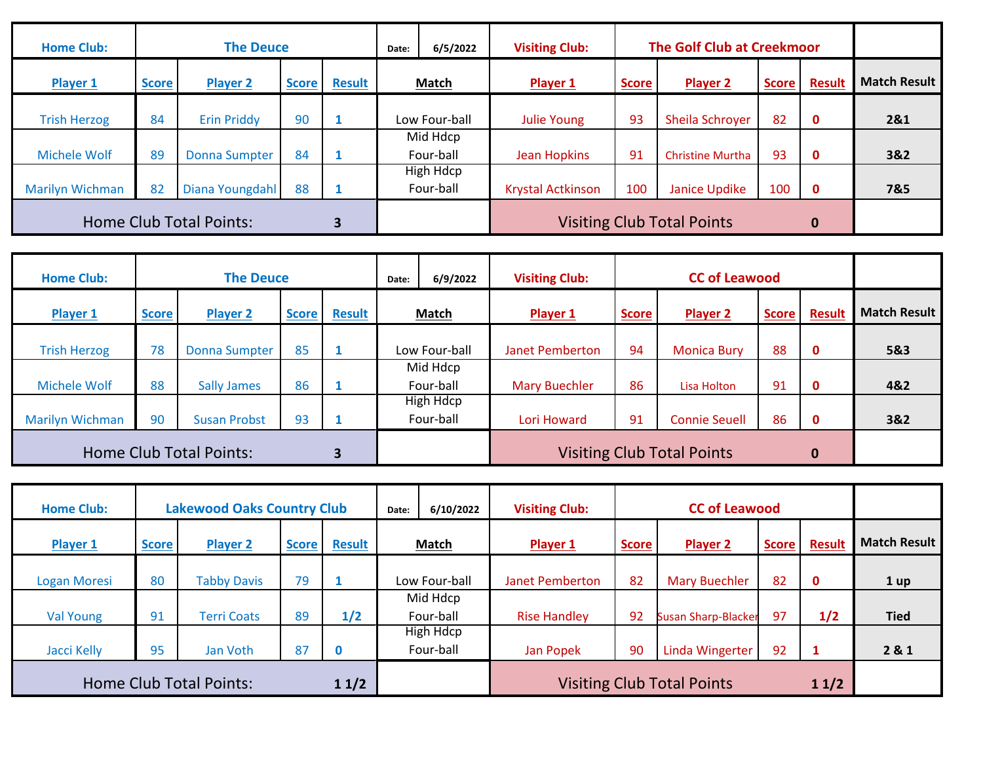| <b>Home Club:</b>              |              | <b>The Deuce</b>     | <b>The Golf Club at Creekmoor</b><br><b>Visiting Club:</b><br>6/5/2022<br>Date: |               |       |                               |                          |                                   |                         |              |               |                     |
|--------------------------------|--------------|----------------------|---------------------------------------------------------------------------------|---------------|-------|-------------------------------|--------------------------|-----------------------------------|-------------------------|--------------|---------------|---------------------|
| <b>Player 1</b>                | <b>Score</b> | <b>Player 2</b>      | <b>Score</b>                                                                    | <b>Result</b> | Match |                               | Player 1                 | <b>Score</b>                      | Player 2                | <b>Score</b> | <b>Result</b> | <b>Match Result</b> |
| <b>Trish Herzog</b>            | 84           | <b>Erin Priddy</b>   | 90                                                                              |               |       | Low Four-ball                 | Julie Young              | 93                                | Sheila Schroyer         | 82           | $\mathbf 0$   | 2&1                 |
| <b>Michele Wolf</b>            | 89           | <b>Donna Sumpter</b> | 84                                                                              |               |       | Mid Hdcp<br>Four-ball         | Jean Hopkins             | 91                                | <b>Christine Murtha</b> | 93           | $\mathbf 0$   | 3&2                 |
| <b>Marilyn Wichman</b>         | 82           | Diana Youngdahl      | 88                                                                              |               |       | <b>High Hdcp</b><br>Four-ball | <b>Krystal Actkinson</b> | 100                               | Janice Updike           | 100          | $\mathbf 0$   | 7&5                 |
| <b>Home Club Total Points:</b> |              |                      |                                                                                 |               |       |                               |                          | <b>Visiting Club Total Points</b> |                         | $\bf{0}$     |               |                     |

| <b>Home Club:</b>                   | <b>The Deuce</b> |                      |              |               |  | 6/9/2022                      | <b>Visiting Club:</b>  |                                   | <b>CC of Leawood</b> |              |              |                     |
|-------------------------------------|------------------|----------------------|--------------|---------------|--|-------------------------------|------------------------|-----------------------------------|----------------------|--------------|--------------|---------------------|
| Player 1                            | <b>Score</b>     | <b>Player 2</b>      | <b>Score</b> | <b>Result</b> |  | <b>Match</b>                  | Player 1               | <b>Score</b>                      | Player 2             | <b>Score</b> | Result       | <b>Match Result</b> |
| <b>Trish Herzog</b>                 | 78               | <b>Donna Sumpter</b> | 85           |               |  | Low Four-ball                 | <b>Janet Pemberton</b> | 94                                | <b>Monica Bury</b>   | 88           | $\mathbf 0$  | 5&3                 |
| <b>Michele Wolf</b>                 | 88               | <b>Sally James</b>   | 86           |               |  | Mid Hdcp<br>Four-ball         | <b>Mary Buechler</b>   | 86                                | Lisa Holton          | 91           | $\mathbf{0}$ | 4&2                 |
| <b>Marilyn Wichman</b>              | 90               | <b>Susan Probst</b>  | 93           |               |  | <b>High Hdcp</b><br>Four-ball | Lori Howard            | 91                                | <b>Connie Seuell</b> | 86           | $\mathbf 0$  | 3&2                 |
| <b>Home Club Total Points:</b><br>3 |                  |                      |              |               |  |                               |                        | <b>Visiting Club Total Points</b> |                      | $\mathbf 0$  |              |                     |

| <b>Home Club:</b>                      |              | <b>Lakewood Oaks Country Club</b> |              |               | <b>CC of Leawood</b><br><b>Visiting Club:</b><br>6/10/2022<br>Date: |                               |                        |                                   |                            |              |               |                     |
|----------------------------------------|--------------|-----------------------------------|--------------|---------------|---------------------------------------------------------------------|-------------------------------|------------------------|-----------------------------------|----------------------------|--------------|---------------|---------------------|
| Player 1                               | <b>Score</b> | <b>Player 2</b>                   | <b>Score</b> | <b>Result</b> |                                                                     | Match                         | <b>Player 1</b>        | <b>Score</b>                      | Player 2                   | <b>Score</b> | <b>Result</b> | <b>Match Result</b> |
| Logan Moresi                           | 80           | <b>Tabby Davis</b>                | 79           |               |                                                                     | Low Four-ball                 | <b>Janet Pemberton</b> | 82                                | <b>Mary Buechler</b>       | 82           | $\mathbf 0$   | 1 up                |
| Val Young                              | 91           | <b>Terri Coats</b>                | 89           | 1/2           |                                                                     | Mid Hdcp<br>Four-ball         | <b>Rise Handley</b>    | 92                                | <b>Susan Sharp-Blacker</b> | 97           | 1/2           | <b>Tied</b>         |
| Jacci Kelly                            | 95           | Jan Voth                          | 87           | 0             |                                                                     | <b>High Hdcp</b><br>Four-ball | Jan Popek              | 90                                | Linda Wingerter            | 92           | $\mathbf{1}$  | 2 & 1               |
| <b>Home Club Total Points:</b><br>11/2 |              |                                   |              |               |                                                                     |                               |                        | <b>Visiting Club Total Points</b> |                            | 11/2         |               |                     |